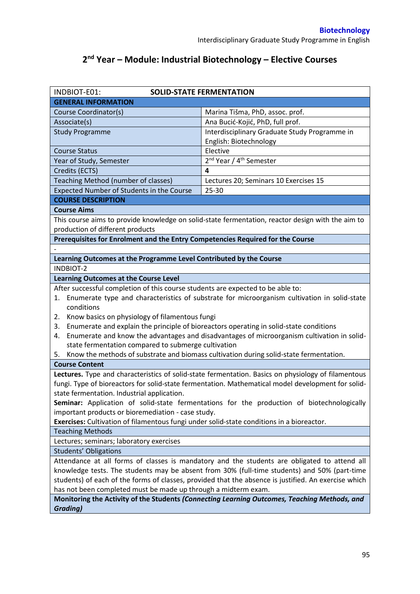## **2 nd Year – Module: Industrial Biotechnology – Elective Courses**

| INDBIOT-E01:                                                                                                                                    | <b>SOLID-STATE FERMENTATION</b>                                                                   |  |  |  |
|-------------------------------------------------------------------------------------------------------------------------------------------------|---------------------------------------------------------------------------------------------------|--|--|--|
| <b>GENERAL INFORMATION</b>                                                                                                                      |                                                                                                   |  |  |  |
| Course Coordinator(s)                                                                                                                           | Marina Tišma, PhD, assoc. prof.                                                                   |  |  |  |
| Associate(s)                                                                                                                                    | Ana Bucić-Kojić, PhD, full prof.                                                                  |  |  |  |
| <b>Study Programme</b>                                                                                                                          | Interdisciplinary Graduate Study Programme in                                                     |  |  |  |
|                                                                                                                                                 | English: Biotechnology                                                                            |  |  |  |
| <b>Course Status</b>                                                                                                                            | Elective                                                                                          |  |  |  |
| Year of Study, Semester                                                                                                                         | 2 <sup>nd</sup> Year / 4 <sup>th</sup> Semester                                                   |  |  |  |
| Credits (ECTS)                                                                                                                                  | 4                                                                                                 |  |  |  |
| Teaching Method (number of classes)                                                                                                             | Lectures 20; Seminars 10 Exercises 15                                                             |  |  |  |
| Expected Number of Students in the Course                                                                                                       | $25 - 30$                                                                                         |  |  |  |
| <b>COURSE DESCRIPTION</b>                                                                                                                       |                                                                                                   |  |  |  |
| <b>Course Aims</b>                                                                                                                              |                                                                                                   |  |  |  |
|                                                                                                                                                 | This course aims to provide knowledge on solid-state fermentation, reactor design with the aim to |  |  |  |
| production of different products                                                                                                                |                                                                                                   |  |  |  |
| Prerequisites for Enrolment and the Entry Competencies Required for the Course                                                                  |                                                                                                   |  |  |  |
|                                                                                                                                                 |                                                                                                   |  |  |  |
| Learning Outcomes at the Programme Level Contributed by the Course                                                                              |                                                                                                   |  |  |  |
| <b>INDBIOT-2</b>                                                                                                                                |                                                                                                   |  |  |  |
| <b>Learning Outcomes at the Course Level</b>                                                                                                    |                                                                                                   |  |  |  |
| After successful completion of this course students are expected to be able to:                                                                 |                                                                                                   |  |  |  |
| 1.                                                                                                                                              | Enumerate type and characteristics of substrate for microorganism cultivation in solid-state      |  |  |  |
| conditions                                                                                                                                      |                                                                                                   |  |  |  |
| Know basics on physiology of filamentous fungi<br>2.                                                                                            |                                                                                                   |  |  |  |
| Enumerate and explain the principle of bioreactors operating in solid-state conditions<br>3.                                                    |                                                                                                   |  |  |  |
| 4.                                                                                                                                              | Enumerate and know the advantages and disadvantages of microorganism cultivation in solid-        |  |  |  |
| state fermentation compared to submerge cultivation                                                                                             |                                                                                                   |  |  |  |
| Know the methods of substrate and biomass cultivation during solid-state fermentation.<br>5.                                                    |                                                                                                   |  |  |  |
| <b>Course Content</b>                                                                                                                           |                                                                                                   |  |  |  |
| Lectures. Type and characteristics of solid-state fermentation. Basics on physiology of filamentous                                             |                                                                                                   |  |  |  |
| fungi. Type of bioreactors for solid-state fermentation. Mathematical model development for solid-                                              |                                                                                                   |  |  |  |
| state fermentation. Industrial application.                                                                                                     |                                                                                                   |  |  |  |
| Seminar: Application of solid-state fermentations for the production of biotechnologically                                                      |                                                                                                   |  |  |  |
| important products or bioremediation - case study.<br>Exercises: Cultivation of filamentous fungi under solid-state conditions in a bioreactor. |                                                                                                   |  |  |  |
| <b>Teaching Methods</b>                                                                                                                         |                                                                                                   |  |  |  |
|                                                                                                                                                 |                                                                                                   |  |  |  |
| Lectures; seminars; laboratory exercises<br><b>Students' Obligations</b>                                                                        |                                                                                                   |  |  |  |
| Attendance at all forms of classes is mandatory and the students are obligated to attend all                                                    |                                                                                                   |  |  |  |
| knowledge tests. The students may be absent from 30% (full-time students) and 50% (part-time                                                    |                                                                                                   |  |  |  |
| students) of each of the forms of classes, provided that the absence is justified. An exercise which                                            |                                                                                                   |  |  |  |
| has not been completed must be made up through a midterm exam.                                                                                  |                                                                                                   |  |  |  |
| Monitoring the Activity of the Students (Connecting Learning Outcomes, Teaching Methods, and                                                    |                                                                                                   |  |  |  |
| <b>Grading)</b>                                                                                                                                 |                                                                                                   |  |  |  |